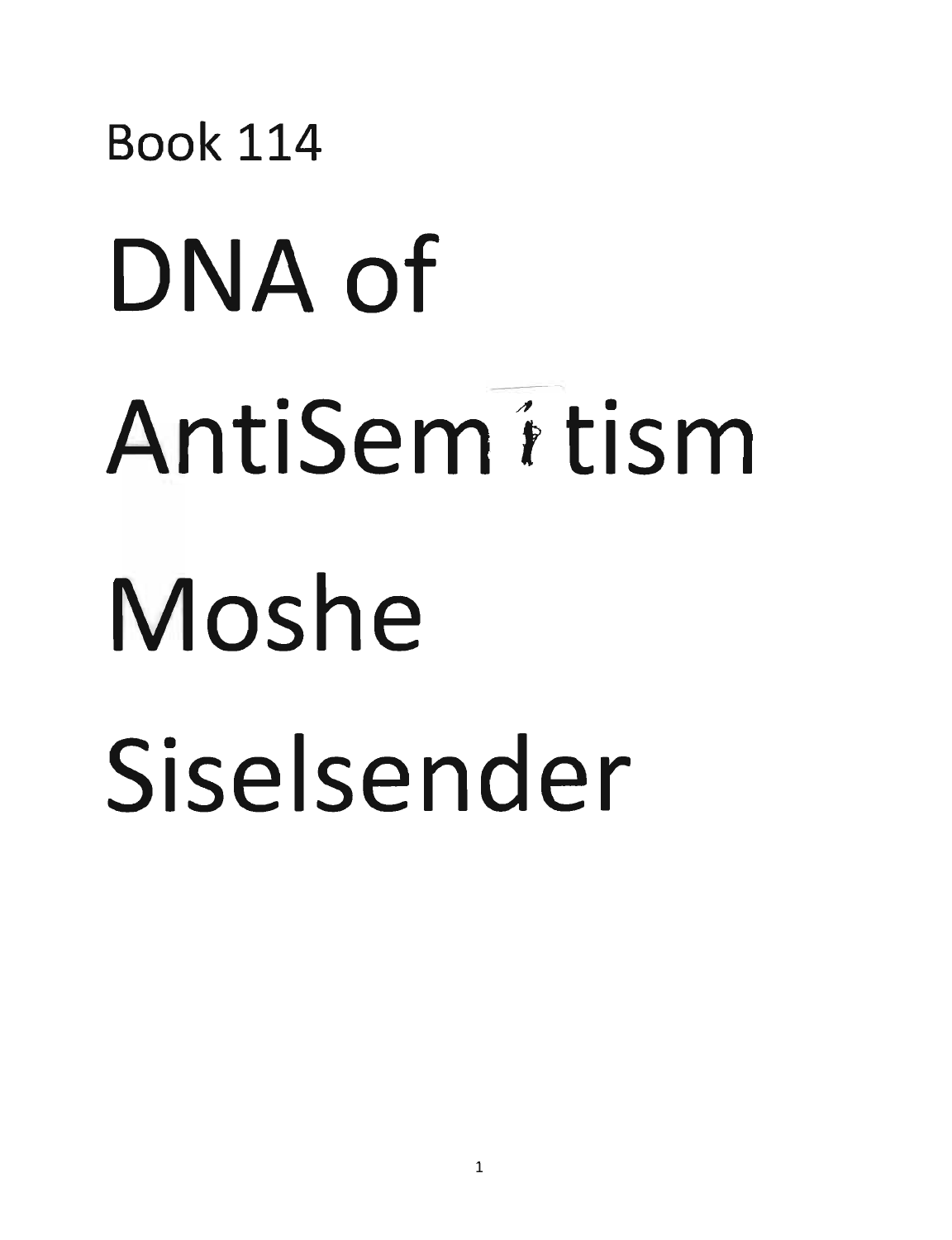## Book 114 DNA of AntiSem 4 tism Moshe Siselsender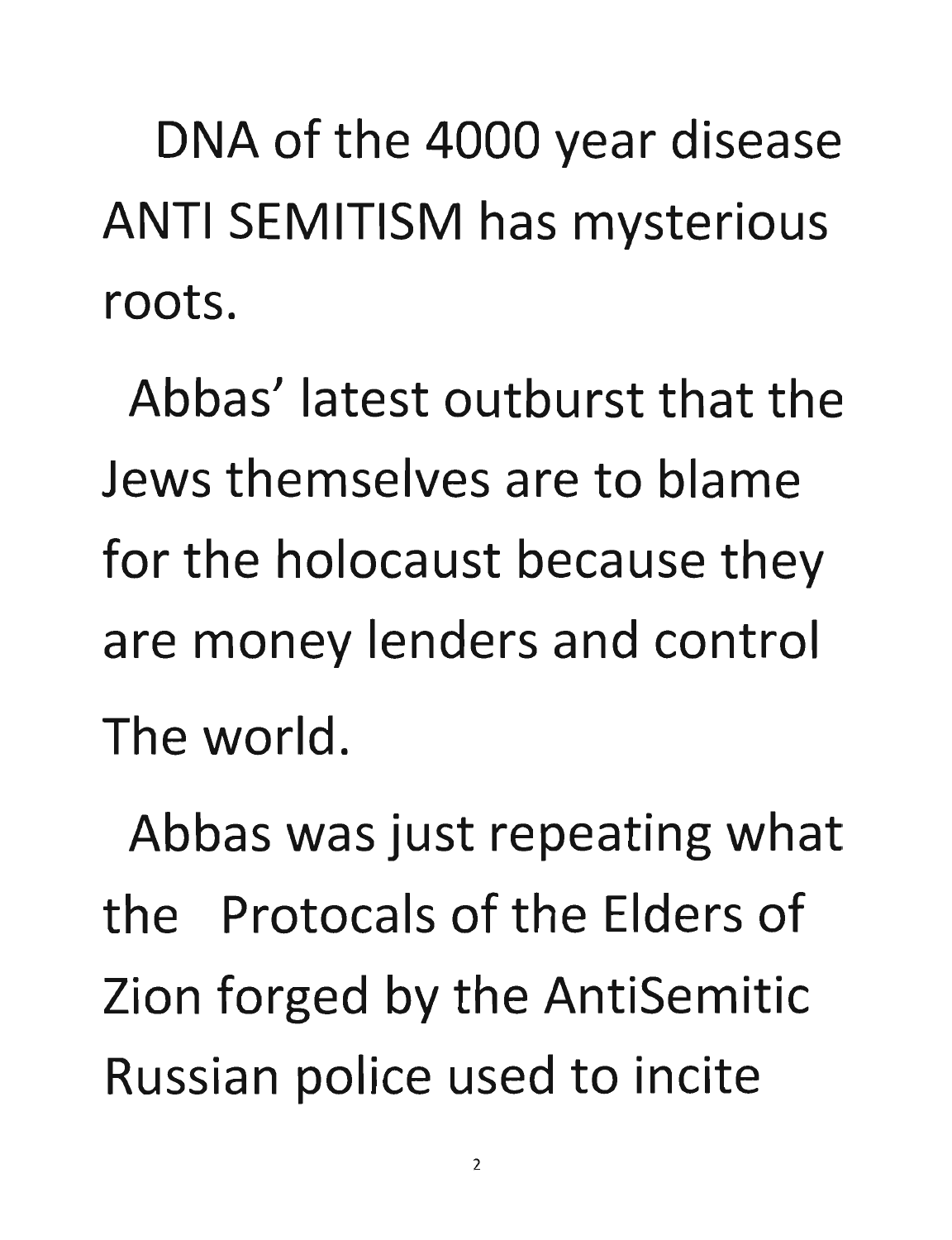DNA of the 4000 year disease ANTI **SEMITISM has mysterious roots.** 

**Abbas' latest outburst that the Jews themselves are to blame**  for the holocaust because they **are money lenders and control The world.** 

Abbas was just repeating what **the Protocals of the Elders of Zion forged by the AntiSemitic**  Russian police used to incite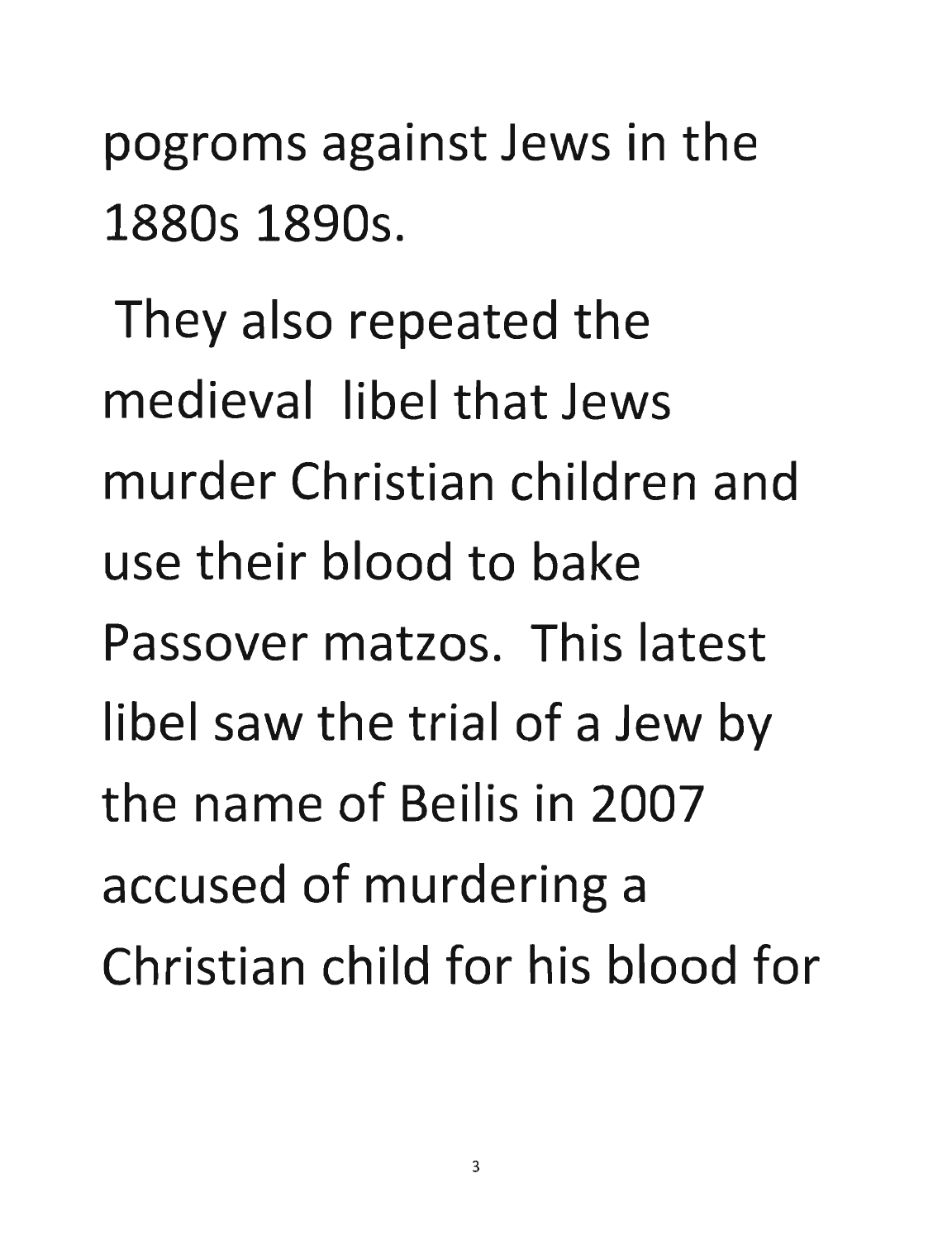pogroms against Jews in the 1880s 1890s.

They also repeated the medieval libel that Jews murder Christian children and use their blood to bake Passover matzos. This latest libel saw the trial of a Jew by the name of Beilis in 2007 accused of murdering a Christian child for his blood for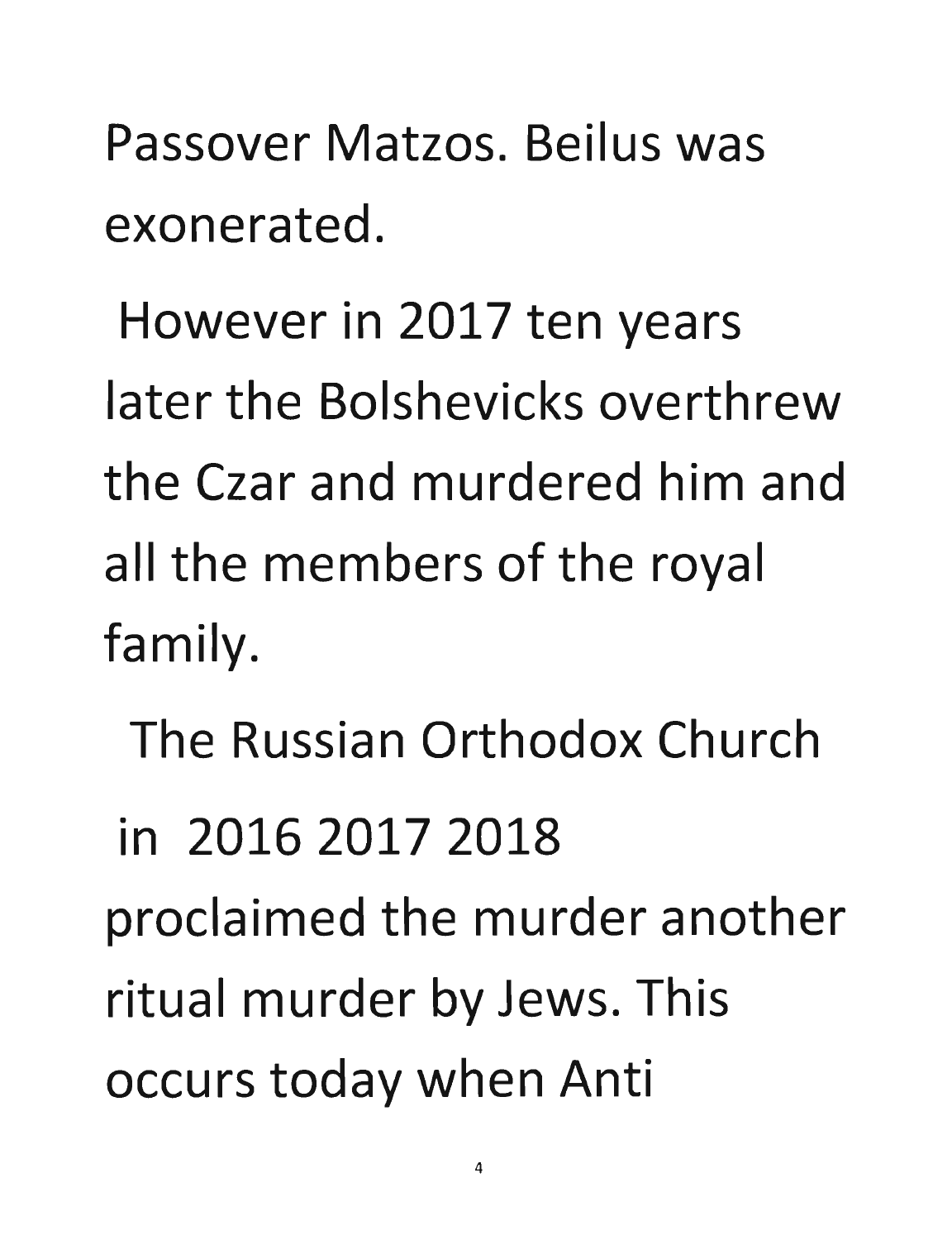**Passover Matzos. Beilus was exonerated.** 

**However in 2017 ten years later the Bolshevicks overthrew the Czar and murdered him and**  all the members of the royal **family.** 

**The Russian Orthodox Church** 

**in 2016 2017 2018** 

proclaimed the murder another ritual murder by Jews. This occurs today when Anti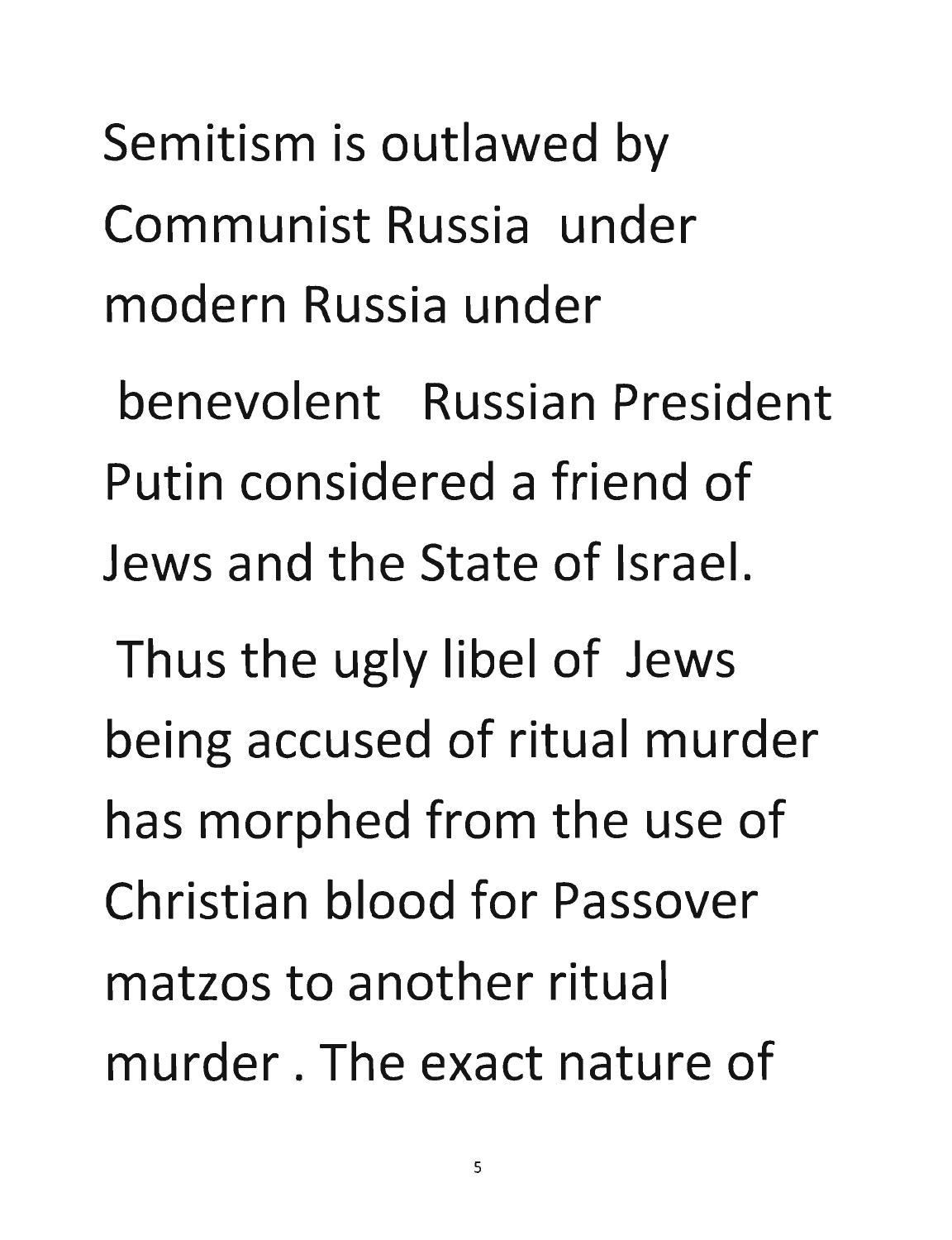Semitism is outlawed by Communist Russia under modern Russia under

benevolent Russian President Putin considered a friend of Jews and the State of Israel.

Thus the ugly libel of Jews being accused of ritual murder has morphed from the use of Christian blood for Passover matzos to another ritual murder. The exact nature of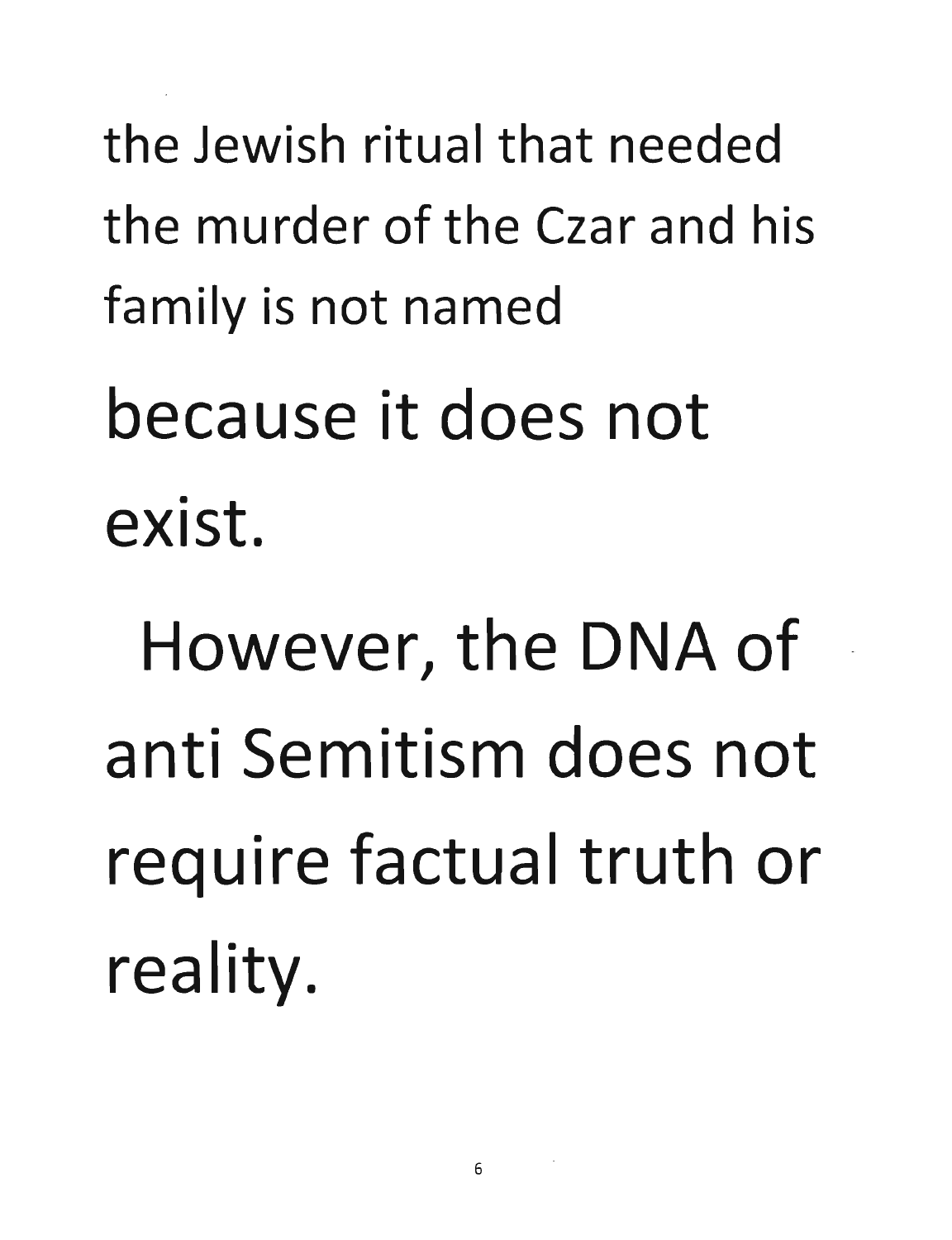the Jewish ritual that needed the murder of the Czar and his family is not named

because it does not exist.

However, the DNA of anti Semitism does not require factual truth or reality.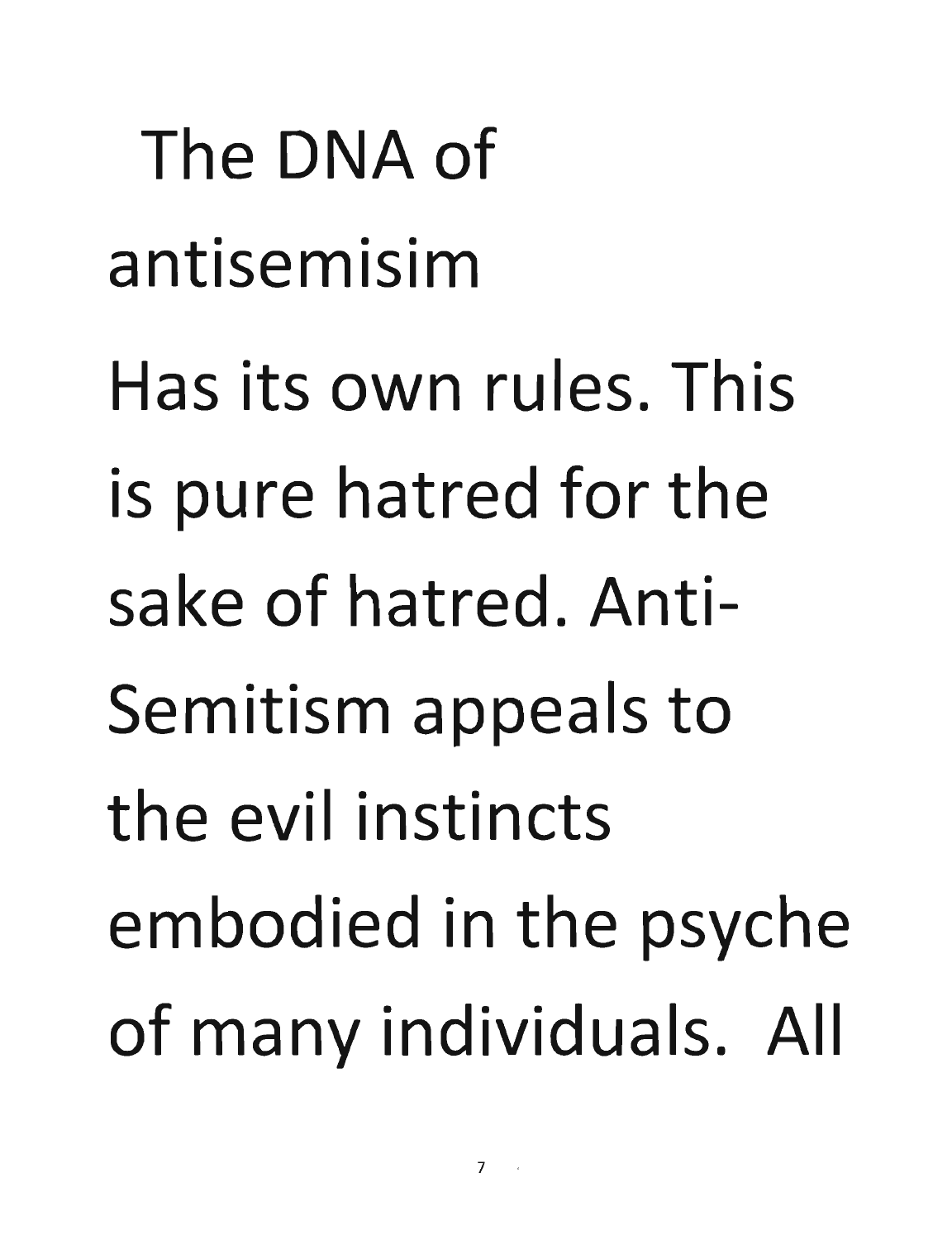The DNA of antisemisim Has its own rules. This is pure hatred for the sake of hatred. Anti-Semitism appeals to the evil instincts embodied in the psyche of many individuals. All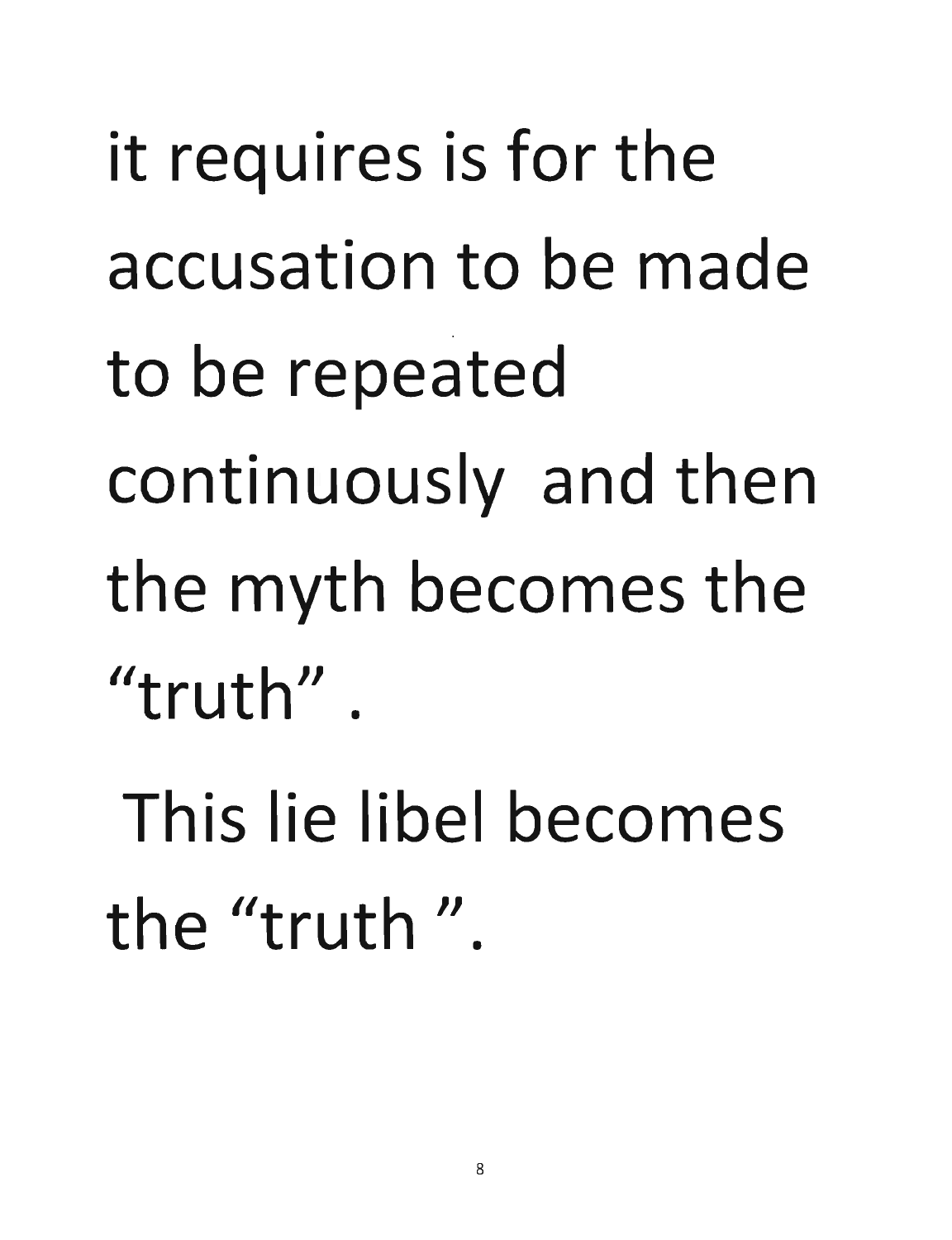it requires is for the accusation to be made to be repeated continuously and then the myth becomes the  $"truth"$ .

This lie libel becomes the "truth".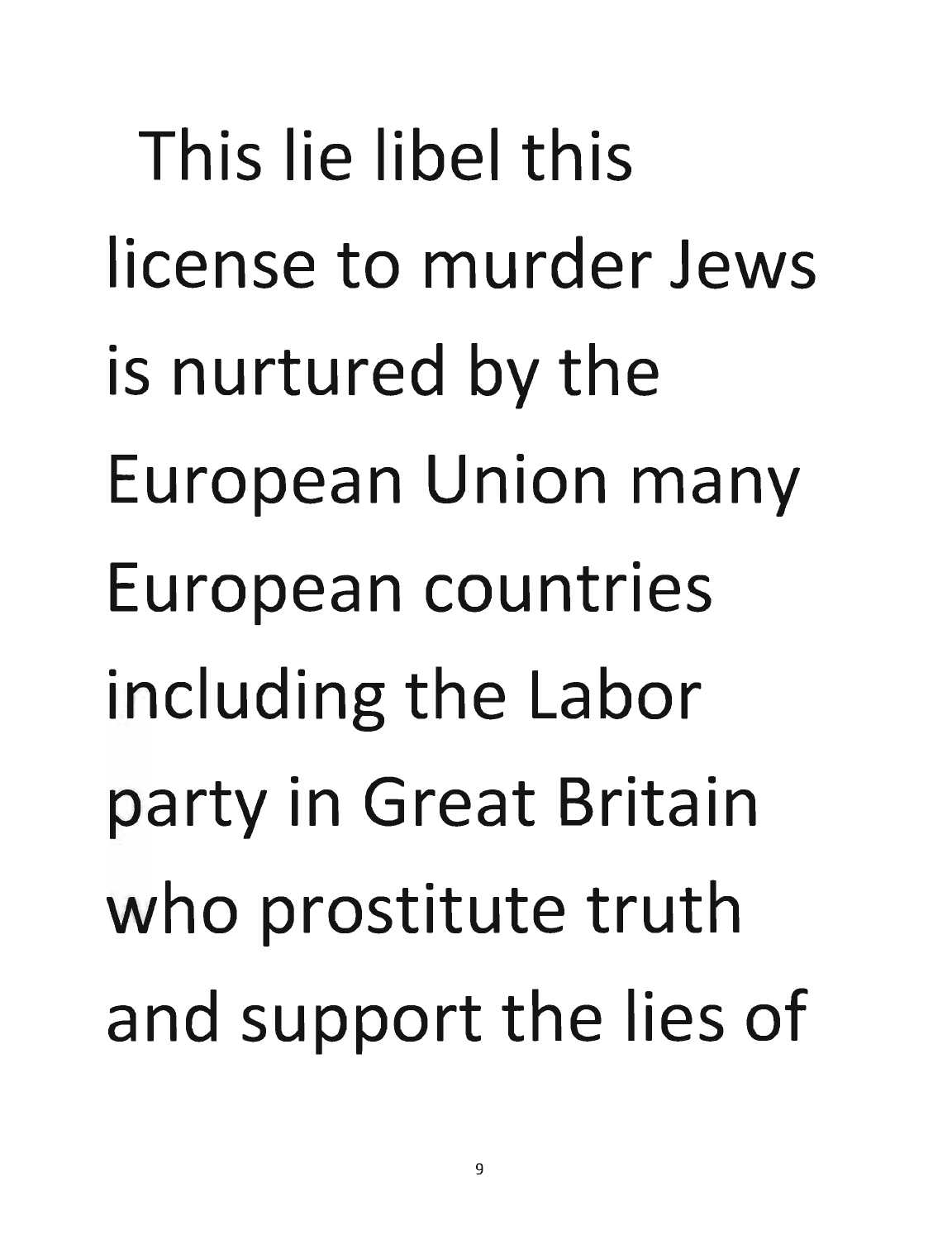This lie libel this license to murder Jews is nurtured by the European Union many European countries including the Labor party in Great Britain who prostitute truth and support the lies of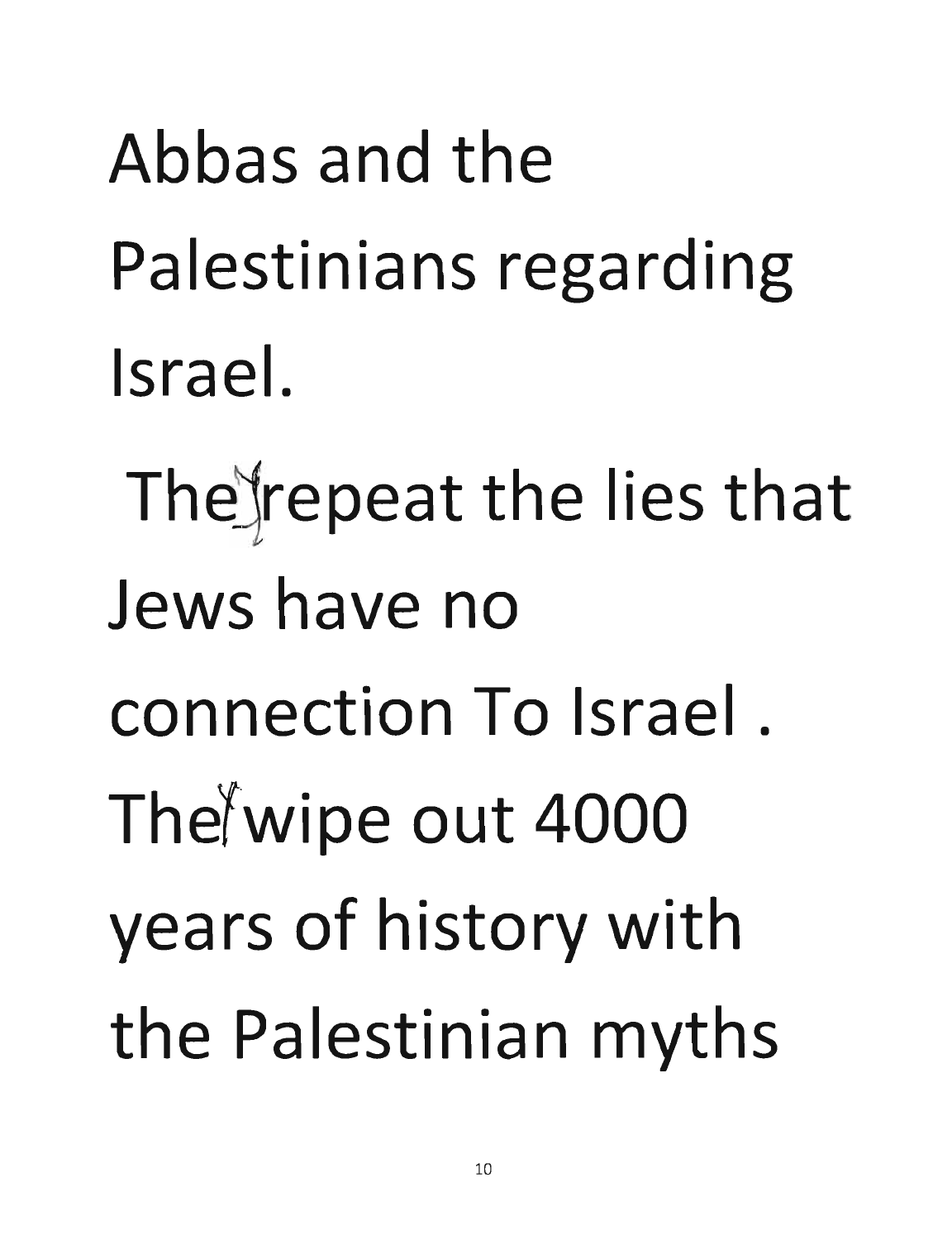Abbas and the Palestinians regarding Israel.

The repeat the lies that Jews have no connection To Israel. The wipe out 4000 years of history with the Palestinian myths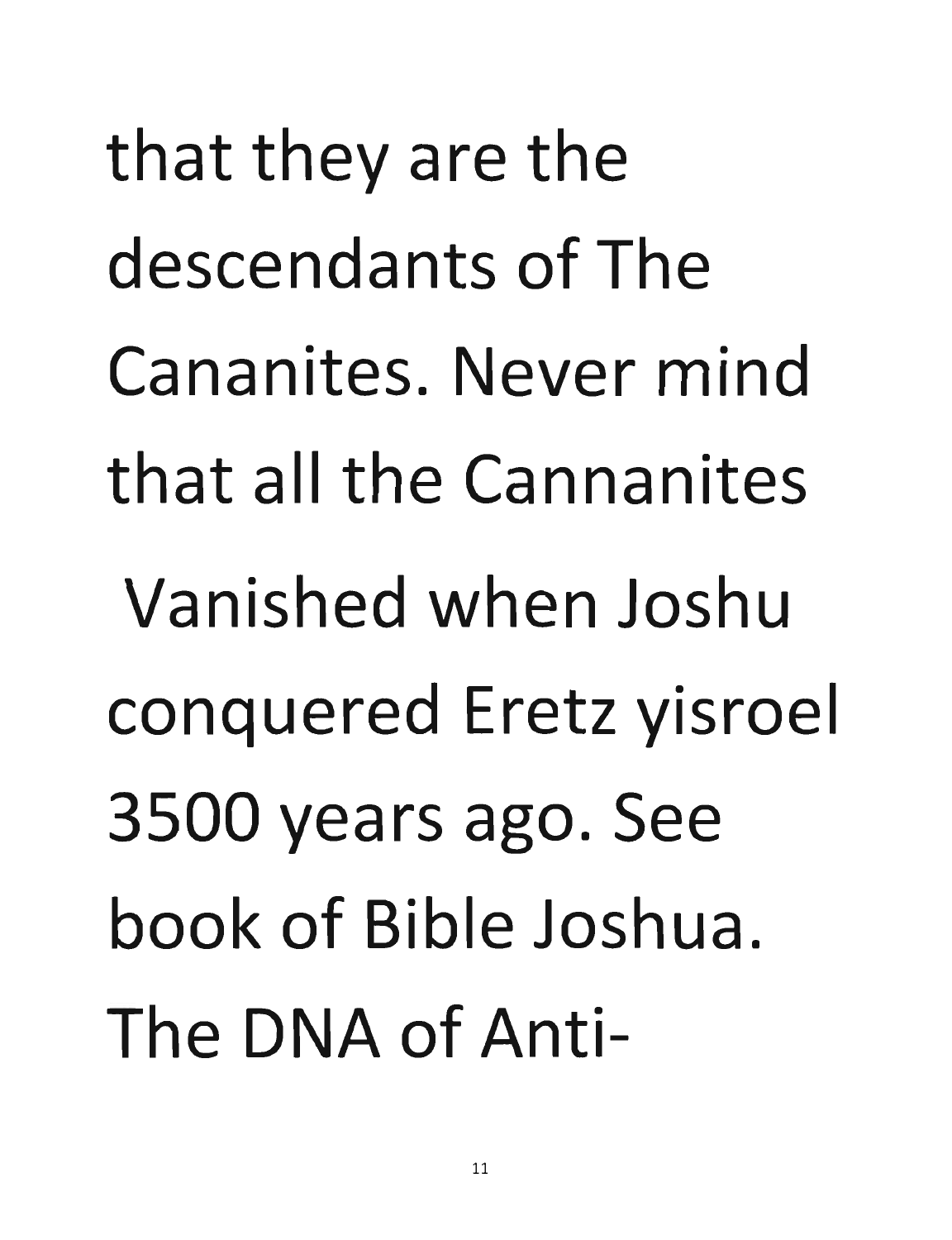that they are the descendants of The Cananites. Never mind that all the Cannanites Vanished when Joshu conquered Eretz yisroel 3500 years ago. See book of Bible Joshua. The DNA of Anti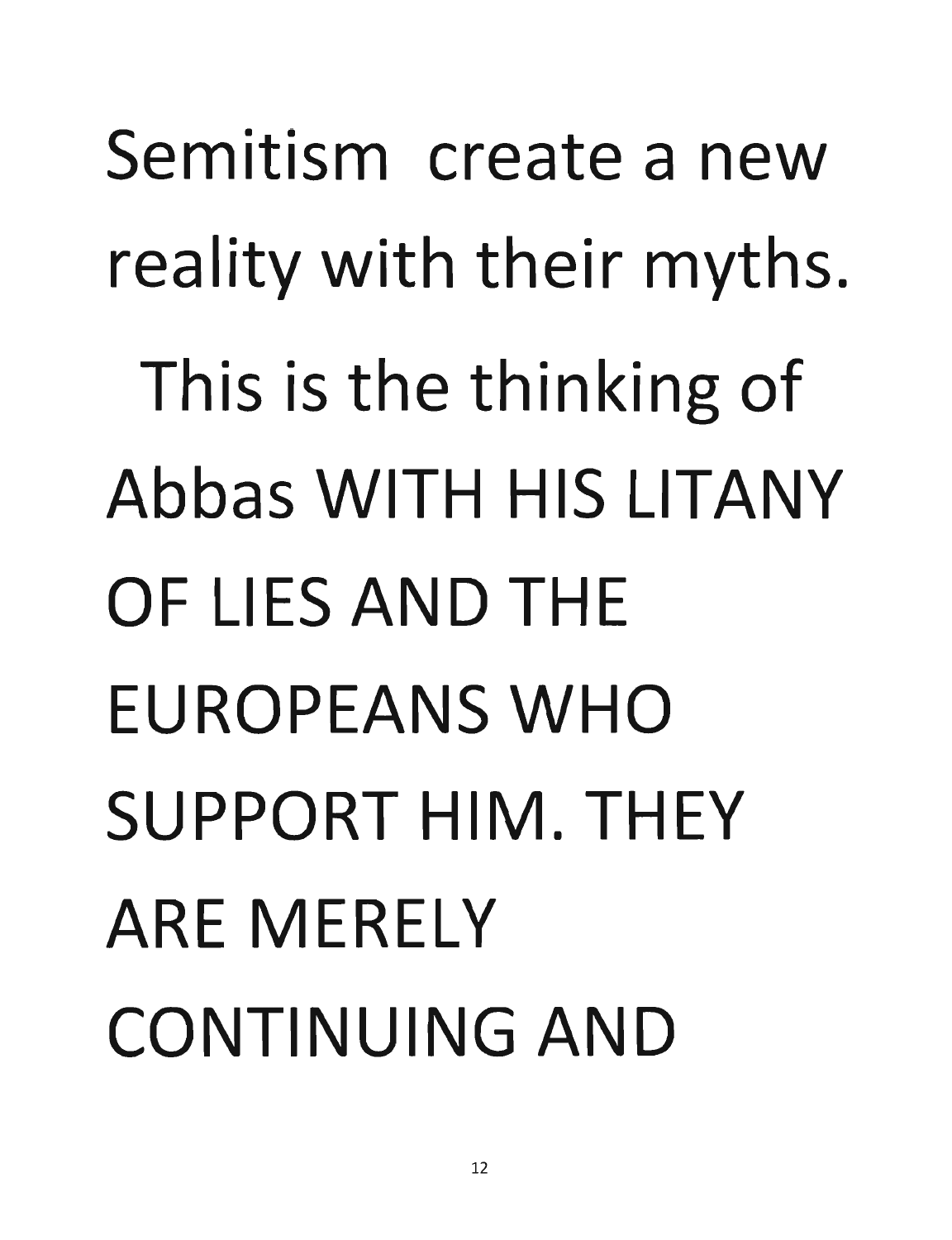Semitism create a new reality with their myths. This is the thinking of Abbas WITH HIS LITANY OF LIES AND THE EUROPEANS WHO SUPPORT HIM. THEY ARE MERELY CONTINUING AND